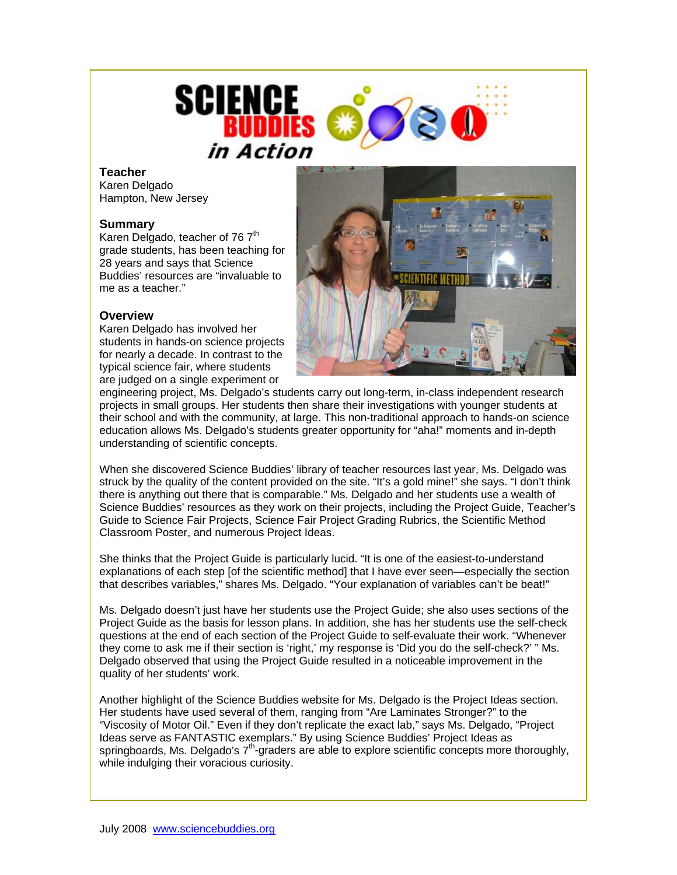

## **Teacher**

Karen Delgado Hampton, New Jersey

## **Summary**

Karen Delgado, teacher of 76 7<sup>th</sup> grade students, has been teaching for 28 years and says that Science Buddies' resources are "invaluable to me as a teacher."

## **Overview**

Karen Delgado has involved her students in hands-on science projects for nearly a decade. In contrast to the typical science fair, where students are judged on a single experiment or



engineering project, Ms. Delgado's students carry out long-term, in-class independent research projects in small groups. Her students then share their investigations with younger students at their school and with the community, at large. This non-traditional approach to hands-on science education allows Ms. Delgado's students greater opportunity for "aha!" moments and in-depth understanding of scientific concepts.

When she discovered Science Buddies' library of teacher resources last year, Ms. Delgado was struck by the quality of the content provided on the site. "It's a gold mine!" she says. "I don't think there is anything out there that is comparable." Ms. Delgado and her students use a wealth of Science Buddies' resources as they work on their projects, including the Project Guide, Teacher's Guide to Science Fair Projects, Science Fair Project Grading Rubrics, the Scientific Method Classroom Poster, and numerous Project Ideas.

She thinks that the Project Guide is particularly lucid. "It is one of the easiest-to-understand explanations of each step [of the scientific method] that I have ever seen—especially the section that describes variables," shares Ms. Delgado. "Your explanation of variables can't be beat!"

Ms. Delgado doesn't just have her students use the Project Guide; she also uses sections of the Project Guide as the basis for lesson plans. In addition, she has her students use the self-check questions at the end of each section of the Project Guide to self-evaluate their work. "Whenever they come to ask me if their section is 'right,' my response is 'Did you do the self-check?' " Ms. Delgado observed that using the Project Guide resulted in a noticeable improvement in the quality of her students' work.

Another highlight of the Science Buddies website for Ms. Delgado is the Project Ideas section. Her students have used several of them, ranging from "Are Laminates Stronger?" to the "Viscosity of Motor Oil." Even if they don't replicate the exact lab," says Ms. Delgado, "Project Ideas serve as FANTASTIC exemplars." By using Science Buddies' Project Ideas as springboards, Ms. Delgado's  $7<sup>th</sup>$ -graders are able to explore scientific concepts more thoroughly, while indulging their voracious curiosity.